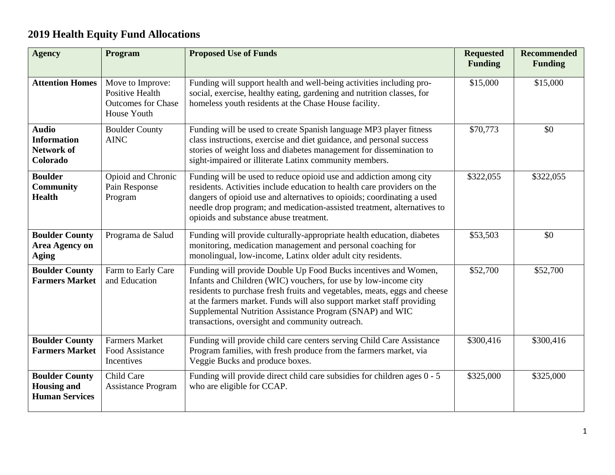## **2019 Health Equity Fund Allocations**

| <b>Agency</b>                                                        | Program                                                                                       | <b>Proposed Use of Funds</b>                                                                                                                                                                                                                                                                                                                                                                            | <b>Requested</b><br><b>Funding</b> | <b>Recommended</b><br><b>Funding</b> |
|----------------------------------------------------------------------|-----------------------------------------------------------------------------------------------|---------------------------------------------------------------------------------------------------------------------------------------------------------------------------------------------------------------------------------------------------------------------------------------------------------------------------------------------------------------------------------------------------------|------------------------------------|--------------------------------------|
| <b>Attention Homes</b>                                               | Move to Improve:<br><b>Positive Health</b><br><b>Outcomes for Chase</b><br><b>House Youth</b> | Funding will support health and well-being activities including pro-<br>social, exercise, healthy eating, gardening and nutrition classes, for<br>homeless youth residents at the Chase House facility.                                                                                                                                                                                                 | \$15,000                           | \$15,000                             |
| <b>Audio</b><br><b>Information</b><br><b>Network of</b><br>Colorado  | <b>Boulder County</b><br><b>AINC</b>                                                          | Funding will be used to create Spanish language MP3 player fitness<br>class instructions, exercise and diet guidance, and personal success<br>stories of weight loss and diabetes management for dissemination to<br>sight-impaired or illiterate Latinx community members.                                                                                                                             | \$70,773                           | \$0                                  |
| <b>Boulder</b><br><b>Community</b><br><b>Health</b>                  | Opioid and Chronic<br>Pain Response<br>Program                                                | Funding will be used to reduce opioid use and addiction among city<br>residents. Activities include education to health care providers on the<br>dangers of opioid use and alternatives to opioids; coordinating a used<br>needle drop program; and medication-assisted treatment, alternatives to<br>opioids and substance abuse treatment.                                                            | \$322,055                          | \$322,055                            |
| <b>Boulder County</b><br><b>Area Agency on</b><br><b>Aging</b>       | Programa de Salud                                                                             | Funding will provide culturally-appropriate health education, diabetes<br>monitoring, medication management and personal coaching for<br>monolingual, low-income, Latinx older adult city residents.                                                                                                                                                                                                    | \$53,503                           | \$0                                  |
| <b>Boulder County</b><br><b>Farmers Market</b>                       | Farm to Early Care<br>and Education                                                           | Funding will provide Double Up Food Bucks incentives and Women,<br>Infants and Children (WIC) vouchers, for use by low-income city<br>residents to purchase fresh fruits and vegetables, meats, eggs and cheese<br>at the farmers market. Funds will also support market staff providing<br>Supplemental Nutrition Assistance Program (SNAP) and WIC<br>transactions, oversight and community outreach. | \$52,700                           | \$52,700                             |
| <b>Boulder County</b><br><b>Farmers Market</b>                       | <b>Farmers Market</b><br>Food Assistance<br>Incentives                                        | Funding will provide child care centers serving Child Care Assistance<br>Program families, with fresh produce from the farmers market, via<br>Veggie Bucks and produce boxes.                                                                                                                                                                                                                           | \$300,416                          | \$300,416                            |
| <b>Boulder County</b><br><b>Housing and</b><br><b>Human Services</b> | Child Care<br><b>Assistance Program</b>                                                       | Funding will provide direct child care subsidies for children ages 0 - 5<br>who are eligible for CCAP.                                                                                                                                                                                                                                                                                                  | \$325,000                          | \$325,000                            |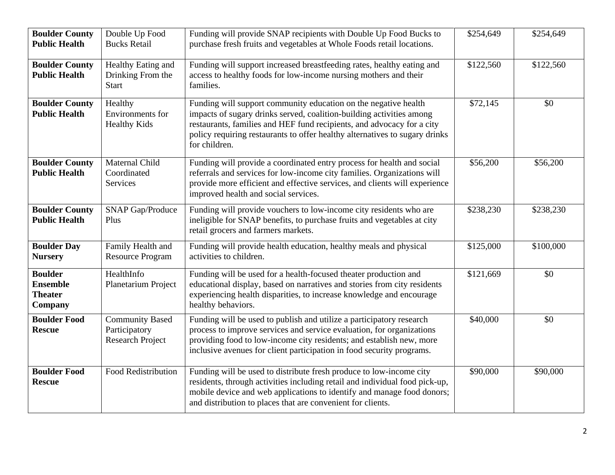| <b>Boulder County</b>                                          | Double Up Food                                                     | Funding will provide SNAP recipients with Double Up Food Bucks to                                                                                                                                                                                                                                                 | \$254,649 | \$254,649 |
|----------------------------------------------------------------|--------------------------------------------------------------------|-------------------------------------------------------------------------------------------------------------------------------------------------------------------------------------------------------------------------------------------------------------------------------------------------------------------|-----------|-----------|
| <b>Public Health</b>                                           | <b>Bucks Retail</b>                                                | purchase fresh fruits and vegetables at Whole Foods retail locations.                                                                                                                                                                                                                                             |           |           |
| <b>Boulder County</b><br><b>Public Health</b>                  | Healthy Eating and<br>Drinking From the<br><b>Start</b>            | Funding will support increased breastfeeding rates, healthy eating and<br>access to healthy foods for low-income nursing mothers and their<br>families.                                                                                                                                                           | \$122,560 | \$122,560 |
| <b>Boulder County</b><br><b>Public Health</b>                  | Healthy<br>Environments for<br><b>Healthy Kids</b>                 | Funding will support community education on the negative health<br>impacts of sugary drinks served, coalition-building activities among<br>restaurants, families and HEF fund recipients, and advocacy for a city<br>policy requiring restaurants to offer healthy alternatives to sugary drinks<br>for children. | \$72,145  | \$0       |
| <b>Boulder County</b><br><b>Public Health</b>                  | Maternal Child<br>Coordinated<br>Services                          | Funding will provide a coordinated entry process for health and social<br>referrals and services for low-income city families. Organizations will<br>provide more efficient and effective services, and clients will experience<br>improved health and social services.                                           | \$56,200  | \$56,200  |
| <b>Boulder County</b><br><b>Public Health</b>                  | <b>SNAP Gap/Produce</b><br>Plus                                    | Funding will provide vouchers to low-income city residents who are<br>ineligible for SNAP benefits, to purchase fruits and vegetables at city<br>retail grocers and farmers markets.                                                                                                                              | \$238,230 | \$238,230 |
| <b>Boulder Day</b><br><b>Nursery</b>                           | Family Health and<br><b>Resource Program</b>                       | Funding will provide health education, healthy meals and physical<br>activities to children.                                                                                                                                                                                                                      | \$125,000 | \$100,000 |
| <b>Boulder</b><br><b>Ensemble</b><br><b>Theater</b><br>Company | HealthInfo<br>Planetarium Project                                  | Funding will be used for a health-focused theater production and<br>educational display, based on narratives and stories from city residents<br>experiencing health disparities, to increase knowledge and encourage<br>healthy behaviors.                                                                        | \$121,669 | \$0       |
| <b>Boulder Food</b><br><b>Rescue</b>                           | <b>Community Based</b><br>Participatory<br><b>Research Project</b> | Funding will be used to publish and utilize a participatory research<br>process to improve services and service evaluation, for organizations<br>providing food to low-income city residents; and establish new, more<br>inclusive avenues for client participation in food security programs.                    | \$40,000  | \$0       |
| <b>Boulder Food</b><br><b>Rescue</b>                           | Food Redistribution                                                | Funding will be used to distribute fresh produce to low-income city<br>residents, through activities including retail and individual food pick-up,<br>mobile device and web applications to identify and manage food donors;<br>and distribution to places that are convenient for clients.                       | \$90,000  | \$90,000  |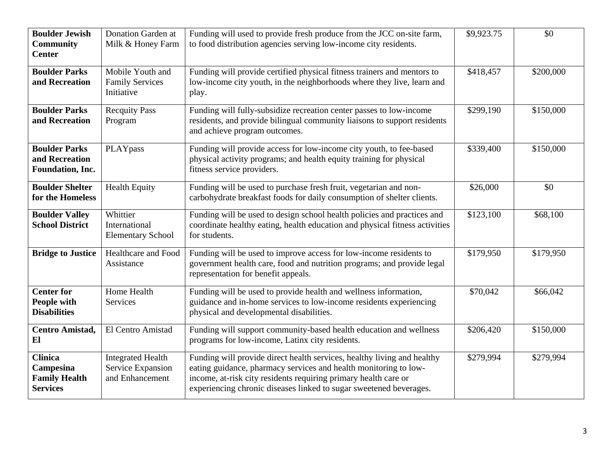| <b>Boulder Jewish</b><br><b>Community</b><br><b>Center</b>             | Donation Garden at<br>Milk & Honey Farm                          | Funding will used to provide fresh produce from the JCC on-site farm,<br>to food distribution agencies serving low-income city residents.                                                                                                                                            | \$9,923.75 | \$0       |
|------------------------------------------------------------------------|------------------------------------------------------------------|--------------------------------------------------------------------------------------------------------------------------------------------------------------------------------------------------------------------------------------------------------------------------------------|------------|-----------|
| <b>Boulder Parks</b><br>and Recreation                                 | Mobile Youth and<br><b>Family Services</b><br>Initiative         | Funding will provide certified physical fitness trainers and mentors to<br>low-income city youth, in the neighborhoods where they live, learn and<br>play.                                                                                                                           | \$418,457  | \$200,000 |
| <b>Boulder Parks</b><br>and Recreation                                 | <b>Recquity Pass</b><br>Program                                  | Funding will fully-subsidize recreation center passes to low-income<br>residents, and provide bilingual community liaisons to support residents<br>and achieve program outcomes.                                                                                                     | \$299,190  | \$150,000 |
| <b>Boulder Parks</b><br>and Recreation<br>Foundation, Inc.             | PLAYpass                                                         | Funding will provide access for low-income city youth, to fee-based<br>physical activity programs; and health equity training for physical<br>fitness service providers.                                                                                                             | \$339,400  | \$150,000 |
| <b>Boulder Shelter</b><br>for the Homeless                             | <b>Health Equity</b>                                             | Funding will be used to purchase fresh fruit, vegetarian and non-<br>carbohydrate breakfast foods for daily consumption of shelter clients.                                                                                                                                          | \$26,000   | \$0       |
| <b>Boulder Valley</b><br><b>School District</b>                        | Whittier<br>International<br><b>Elementary School</b>            | Funding will be used to design school health policies and practices and<br>coordinate healthy eating, health education and physical fitness activities<br>for students.                                                                                                              | \$123,100  | \$68,100  |
| <b>Bridge to Justice</b>                                               | <b>Healthcare and Food</b><br>Assistance                         | Funding will be used to improve access for low-income residents to<br>government health care, food and nutrition programs; and provide legal<br>representation for benefit appeals.                                                                                                  | \$179,950  | \$179,950 |
| <b>Center for</b><br>People with<br><b>Disabilities</b>                | Home Health<br>Services                                          | Funding will be used to provide health and wellness information,<br>guidance and in-home services to low-income residents experiencing<br>physical and developmental disabilities.                                                                                                   | \$70,042   | \$66,042  |
| Centro Amistad,<br>El                                                  | El Centro Amistad                                                | Funding will support community-based health education and wellness<br>programs for low-income, Latinx city residents.                                                                                                                                                                | \$206,420  | \$150,000 |
| <b>Clinica</b><br>Campesina<br><b>Family Health</b><br><b>Services</b> | <b>Integrated Health</b><br>Service Expansion<br>and Enhancement | Funding will provide direct health services, healthy living and healthy<br>eating guidance, pharmacy services and health monitoring to low-<br>income, at-risk city residents requiring primary health care or<br>experiencing chronic diseases linked to sugar sweetened beverages. | \$279,994  | \$279,994 |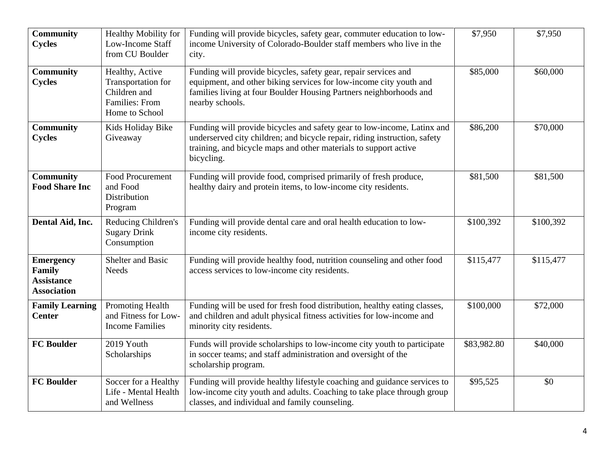| <b>Community</b><br><b>Cycles</b>                                     | Healthy Mobility for<br>Low-Income Staff<br>from CU Boulder                               | Funding will provide bicycles, safety gear, commuter education to low-<br>income University of Colorado-Boulder staff members who live in the<br>city.                                                                                 | \$7,950     | \$7,950   |
|-----------------------------------------------------------------------|-------------------------------------------------------------------------------------------|----------------------------------------------------------------------------------------------------------------------------------------------------------------------------------------------------------------------------------------|-------------|-----------|
| Community<br><b>Cycles</b>                                            | Healthy, Active<br>Transportation for<br>Children and<br>Families: From<br>Home to School | Funding will provide bicycles, safety gear, repair services and<br>equipment, and other biking services for low-income city youth and<br>families living at four Boulder Housing Partners neighborhoods and<br>nearby schools.         | \$85,000    | \$60,000  |
| <b>Community</b><br><b>Cycles</b>                                     | Kids Holiday Bike<br>Giveaway                                                             | Funding will provide bicycles and safety gear to low-income, Latinx and<br>underserved city children; and bicycle repair, riding instruction, safety<br>training, and bicycle maps and other materials to support active<br>bicycling. | \$86,200    | \$70,000  |
| <b>Community</b><br><b>Food Share Inc</b>                             | <b>Food Procurement</b><br>and Food<br><b>Distribution</b><br>Program                     | Funding will provide food, comprised primarily of fresh produce,<br>healthy dairy and protein items, to low-income city residents.                                                                                                     | \$81,500    | \$81,500  |
| Dental Aid, Inc.                                                      | Reducing Children's<br><b>Sugary Drink</b><br>Consumption                                 | Funding will provide dental care and oral health education to low-<br>income city residents.                                                                                                                                           | \$100,392   | \$100,392 |
| <b>Emergency</b><br>Family<br><b>Assistance</b><br><b>Association</b> | <b>Shelter and Basic</b><br><b>Needs</b>                                                  | Funding will provide healthy food, nutrition counseling and other food<br>access services to low-income city residents.                                                                                                                | \$115,477   | \$115,477 |
| <b>Family Learning</b><br><b>Center</b>                               | Promoting Health<br>and Fitness for Low-<br><b>Income Families</b>                        | Funding will be used for fresh food distribution, healthy eating classes,<br>and children and adult physical fitness activities for low-income and<br>minority city residents.                                                         | \$100,000   | \$72,000  |
| <b>FC Boulder</b>                                                     | 2019 Youth<br>Scholarships                                                                | Funds will provide scholarships to low-income city youth to participate<br>in soccer teams; and staff administration and oversight of the<br>scholarship program.                                                                      | \$83,982.80 | \$40,000  |
| <b>FC Boulder</b>                                                     | Soccer for a Healthy<br>Life - Mental Health<br>and Wellness                              | Funding will provide healthy lifestyle coaching and guidance services to<br>low-income city youth and adults. Coaching to take place through group<br>classes, and individual and family counseling.                                   | \$95,525    | \$0       |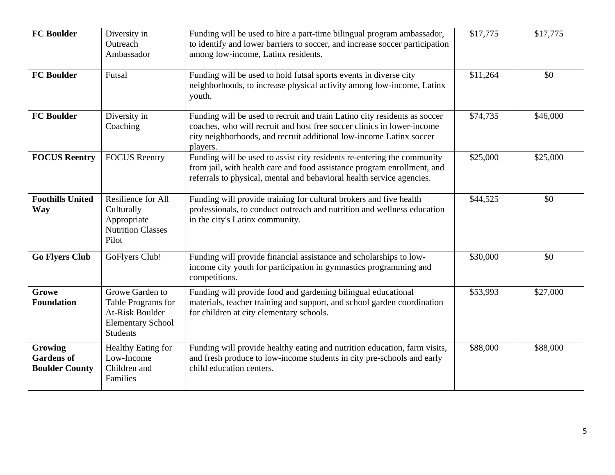| <b>FC Boulder</b>                                     | Diversity in<br>Outreach<br>Ambassador                                                                  | Funding will be used to hire a part-time bilingual program ambassador,<br>to identify and lower barriers to soccer, and increase soccer participation<br>among low-income, Latinx residents.                                           | \$17,775 | \$17,775 |
|-------------------------------------------------------|---------------------------------------------------------------------------------------------------------|----------------------------------------------------------------------------------------------------------------------------------------------------------------------------------------------------------------------------------------|----------|----------|
| <b>FC Boulder</b>                                     | Futsal                                                                                                  | Funding will be used to hold futsal sports events in diverse city<br>neighborhoods, to increase physical activity among low-income, Latinx<br>youth.                                                                                   | \$11,264 | \$0      |
| <b>FC Boulder</b>                                     | Diversity in<br>Coaching                                                                                | Funding will be used to recruit and train Latino city residents as soccer<br>coaches, who will recruit and host free soccer clinics in lower-income<br>city neighborhoods, and recruit additional low-income Latinx soccer<br>players. | \$74,735 | \$46,000 |
| <b>FOCUS Reentry</b>                                  | <b>FOCUS</b> Reentry                                                                                    | Funding will be used to assist city residents re-entering the community<br>from jail, with health care and food assistance program enrollment, and<br>referrals to physical, mental and behavioral health service agencies.            | \$25,000 | \$25,000 |
| <b>Foothills United</b><br><b>Way</b>                 | Resilience for All<br>Culturally<br>Appropriate<br><b>Nutrition Classes</b><br>Pilot                    | Funding will provide training for cultural brokers and five health<br>professionals, to conduct outreach and nutrition and wellness education<br>in the city's Latinx community.                                                       | \$44,525 | \$0      |
| <b>Go Flyers Club</b>                                 | GoFlyers Club!                                                                                          | Funding will provide financial assistance and scholarships to low-<br>income city youth for participation in gymnastics programming and<br>competitions.                                                                               | \$30,000 | \$0      |
| Growe<br><b>Foundation</b>                            | Growe Garden to<br>Table Programs for<br>At-Risk Boulder<br><b>Elementary School</b><br><b>Students</b> | Funding will provide food and gardening bilingual educational<br>materials, teacher training and support, and school garden coordination<br>for children at city elementary schools.                                                   | \$53,993 | \$27,000 |
| Growing<br><b>Gardens of</b><br><b>Boulder County</b> | <b>Healthy Eating for</b><br>Low-Income<br>Children and<br>Families                                     | Funding will provide healthy eating and nutrition education, farm visits,<br>and fresh produce to low-income students in city pre-schools and early<br>child education centers.                                                        | \$88,000 | \$88,000 |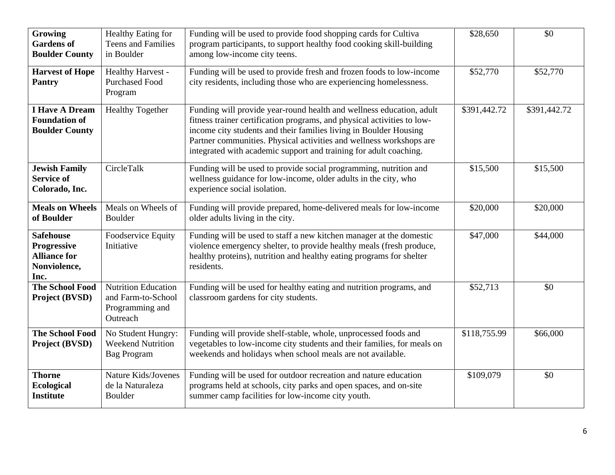| Growing<br><b>Gardens of</b><br><b>Boulder County</b>                                 | Healthy Eating for<br><b>Teens and Families</b><br>in Boulder                   | Funding will be used to provide food shopping cards for Cultiva<br>program participants, to support healthy food cooking skill-building<br>among low-income city teens.                                                                                                                                                                                          | \$28,650     | \$0          |
|---------------------------------------------------------------------------------------|---------------------------------------------------------------------------------|------------------------------------------------------------------------------------------------------------------------------------------------------------------------------------------------------------------------------------------------------------------------------------------------------------------------------------------------------------------|--------------|--------------|
| <b>Harvest of Hope</b><br><b>Pantry</b>                                               | Healthy Harvest -<br><b>Purchased Food</b><br>Program                           | Funding will be used to provide fresh and frozen foods to low-income<br>city residents, including those who are experiencing homelessness.                                                                                                                                                                                                                       | \$52,770     | \$52,770     |
| <b>I Have A Dream</b><br><b>Foundation of</b><br><b>Boulder County</b>                | <b>Healthy Together</b>                                                         | Funding will provide year-round health and wellness education, adult<br>fitness trainer certification programs, and physical activities to low-<br>income city students and their families living in Boulder Housing<br>Partner communities. Physical activities and wellness workshops are<br>integrated with academic support and training for adult coaching. | \$391,442.72 | \$391,442.72 |
| <b>Jewish Family</b><br><b>Service of</b><br>Colorado, Inc.                           | CircleTalk                                                                      | Funding will be used to provide social programming, nutrition and<br>wellness guidance for low-income, older adults in the city, who<br>experience social isolation.                                                                                                                                                                                             | \$15,500     | \$15,500     |
| <b>Meals on Wheels</b><br>of Boulder                                                  | Meals on Wheels of<br><b>Boulder</b>                                            | Funding will provide prepared, home-delivered meals for low-income<br>older adults living in the city.                                                                                                                                                                                                                                                           | \$20,000     | \$20,000     |
| <b>Safehouse</b><br><b>Progressive</b><br><b>Alliance for</b><br>Nonviolence,<br>Inc. | Foodservice Equity<br>Initiative                                                | Funding will be used to staff a new kitchen manager at the domestic<br>violence emergency shelter, to provide healthy meals (fresh produce,<br>healthy proteins), nutrition and healthy eating programs for shelter<br>residents.                                                                                                                                | \$47,000     | \$44,000     |
| <b>The School Food</b><br>Project (BVSD)                                              | <b>Nutrition Education</b><br>and Farm-to-School<br>Programming and<br>Outreach | Funding will be used for healthy eating and nutrition programs, and<br>classroom gardens for city students.                                                                                                                                                                                                                                                      | \$52,713     | \$0          |
| <b>The School Food</b><br>Project (BVSD)                                              | No Student Hungry:<br><b>Weekend Nutrition</b><br><b>Bag Program</b>            | Funding will provide shelf-stable, whole, unprocessed foods and<br>vegetables to low-income city students and their families, for meals on<br>weekends and holidays when school meals are not available.                                                                                                                                                         | \$118,755.99 | \$66,000     |
| <b>Thorne</b><br>Ecological<br><b>Institute</b>                                       | Nature Kids/Jovenes<br>de la Naturaleza<br>Boulder                              | Funding will be used for outdoor recreation and nature education<br>programs held at schools, city parks and open spaces, and on-site<br>summer camp facilities for low-income city youth.                                                                                                                                                                       | \$109,079    | \$0          |